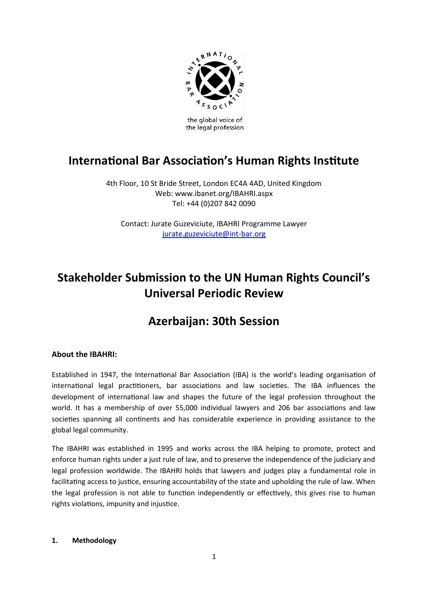

# **International Bar Association's Human Rights Institute**

4th Floor, 10 St Bride Street, London EC4A 4AD, United Kingdom Web: www.ibanet.org/IBAHRI.aspx Tel: +44 (0)207 842 0090

Contact: Jurate Guzeviciute, IBAHRI Programme Lawyer [jurate.guzeviciute@int-bar.org](mailto:jurate.guzeviciute@int-bar.org)

# **Stakeholder Submission to the UN Human Rights Council's Universal Periodic Review**

# **Azerbaijan: 30th Session**

# **About the IBAHRI:**

Established in 1947, the International Bar Association (IBA) is the world's leading organisation of international legal practitioners, bar associations and law societies. The IBA influences the development of international law and shapes the future of the legal profession throughout the world. It has a membership of over 55,000 individual lawyers and 206 bar associatons and law societies spanning all continents and has considerable experience in providing assistance to the global legal community.

The IBAHRI was established in 1995 and works across the IBA helping to promote, protect and enforce human rights under a just rule of law, and to preserve the independence of the judiciary and legal profession worldwide. The IBAHRI holds that lawyers and judges play a fundamental role in facilitating access to justice, ensuring accountability of the state and upholding the rule of law. When the legal profession is not able to function independently or effectively, this gives rise to human rights violations, impunity and injustice.

### 1. **Methodology**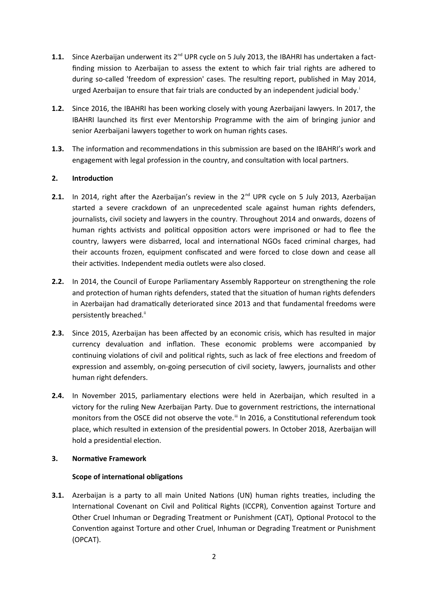- **1.1.** Since Azerbaijan underwent its 2<sup>nd</sup> UPR cycle on 5 July 2013, the IBAHRI has undertaken a factfinding mission to Azerbaijan to assess the extent to which fair trial rights are adhered to during so-called 'freedom of expression' cases. The resultng report, published in May 2014, urged Azerbaijan to ensure that fair trials are conducted by an independent judicial body.<sup>1</sup>
- **1.2.** Since 2016, the IBAHRI has been working closely with young Azerbaijani lawyers. In 2017, the IBAHRI launched its first ever Mentorship Programme with the aim of bringing junior and senior Azerbaijani lawyers together to work on human rights cases.
- **1.3.** The information and recommendations in this submission are based on the IBAHRI's work and engagement with legal profession in the country, and consultaton with local partners.

# 2. **Introduction**

- 2.1. In 2014, right after the Azerbaijan's review in the 2<sup>nd</sup> UPR cycle on 5 July 2013, Azerbaijan started a severe crackdown of an unprecedented scale against human rights defenders, journalists, civil society and lawyers in the country. Throughout 2014 and onwards, dozens of human rights activists and political opposition actors were imprisoned or had to flee the country, lawyers were disbarred, local and internatonal NGOs faced criminal charges, had their accounts frozen, equipment confiscated and were forced to close down and cease all their activities. Independent media outlets were also closed.
- **2.2.** In 2014, the Council of Europe Parliamentary Assembly Rapporteur on strengthening the role and protection of human rights defenders, stated that the situation of human rights defenders in Azerbaijan had dramatcally deteriorated since 2013 and that fundamental freedoms were persistently breached.<sup>ii</sup>
- **2.3.** Since 2015, Azerbaijan has been afected by an economic crisis, which has resulted in major currency devaluation and inflation. These economic problems were accompanied by continuing violations of civil and political rights, such as lack of free elections and freedom of expression and assembly, on-going persecuton of civil society, lawyers, journalists and other human right defenders.
- **2.4.** In November 2015, parliamentary electons were held in Azerbaijan, which resulted in a victory for the ruling New Azerbaijan Party. Due to government restrictons, the internatonal monitors from the OSCE did not observe the vote.<sup>iii</sup> In 2016, a Constitutional referendum took place, which resulted in extension of the presidental powers. In October 2018, Azerbaijan will hold a presidential election.

# **3.** Normative Framework

### **Scope of international obligations**

**3.1.** Azerbaijan is a party to all main United Nations (UN) human rights treaties, including the International Covenant on Civil and Political Rights (ICCPR), Convention against Torture and Other Cruel Inhuman or Degrading Treatment or Punishment (CAT), Optonal Protocol to the Convention against Torture and other Cruel, Inhuman or Degrading Treatment or Punishment (OPCAT).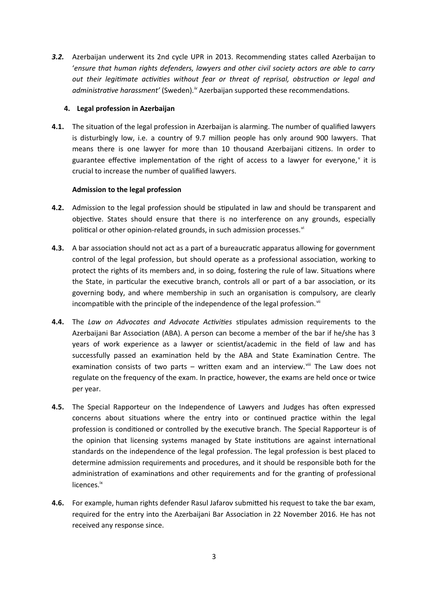*3.2.* Azerbaijan underwent its 2nd cycle UPR in 2013. Recommending states called Azerbaijan to '*ensure that human rights defenders, lawyers and other civil society actors are able to carry out their legitmate actvites without fear or threat of reprisal, obstructon or legal and* administrative harassment' (Sweden).<sup>"</sup> Azerbaijan supported these recommendations.

#### **4. Legal profession in Azerbaijan**

**4.1.** The situation of the legal profession in Azerbaijan is alarming. The number of qualified lawyers is disturbingly low, i.e. a country of 9.7 million people has only around 900 lawyers. That means there is one lawyer for more than 10 thousand Azerbaijani citzens. In order to guarantee effective implementation of the right of access to a lawyer for everyone,<sup>v</sup> it is crucial to increase the number of qualified lawyers.

#### **Admission to the legal profession**

- **4.2.** Admission to the legal profession should be stpulated in law and should be transparent and objective. States should ensure that there is no interference on any grounds, especially political or other opinion-related grounds, in such admission processes.<sup>vi</sup>
- **4.3.** A bar association should not act as a part of a bureaucratic apparatus allowing for government control of the legal profession, but should operate as a professional associaton, working to protect the rights of its members and, in so doing, fostering the rule of law. Situatons where the State, in particular the executive branch, controls all or part of a bar association, or its governing body, and where membership in such an organisaton is compulsory, are clearly incompatible with the principle of the independence of the legal profession. $\mathbf{w}$
- **4.4.** The *Law on Advocates and Advocate Actvites* stpulates admission requirements to the Azerbaijani Bar Associaton (ABA). A person can become a member of the bar if he/she has 3 years of work experience as a lawyer or scientst/academic in the field of law and has successfully passed an examination held by the ABA and State Examination Centre. The examination consists of two parts – written exam and an interview. $\frac{1}{10}$  The Law does not regulate on the frequency of the exam. In practice, however, the exams are held once or twice per year.
- **4.5.** The Special Rapporteur on the Independence of Lawyers and Judges has often expressed concerns about situations where the entry into or continued practice within the legal profession is conditoned or controlled by the executve branch. The Special Rapporteur is of the opinion that licensing systems managed by State institutions are against international standards on the independence of the legal profession. The legal profession is best placed to determine admission requirements and procedures, and it should be responsible both for the administration of examinations and other requirements and for the granting of professional licences.<sup>ix</sup>
- **4.6.** For example, human rights defender Rasul Jafarov submited his request to take the bar exam, required for the entry into the Azerbaijani Bar Associaton in 22 November 2016. He has not received any response since.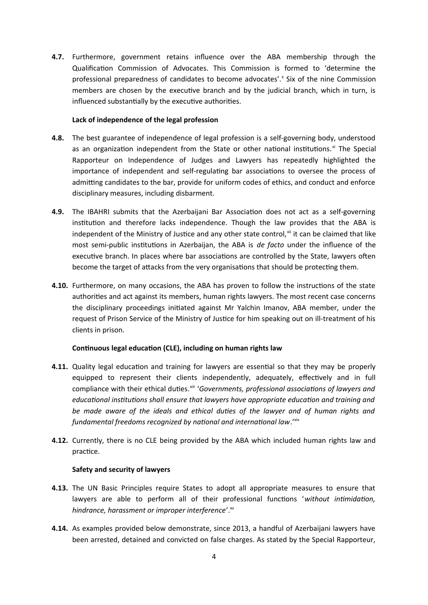**4.7.** Furthermore, government retains infuence over the ABA membership through the Qualificaton Commission of Advocates. This Commission is formed to 'determine the professional preparedness of candidates to become advocates'.<sup>x</sup> Six of the nine Commission members are chosen by the executive branch and by the judicial branch, which in turn, is influenced substantially by the executive authorities.

### Lack of independence of the legal profession

- **4.8.** The best guarantee of independence of legal profession is a self-governing body, understood as an organization independent from the State or other national institutions. $x_i$  The Special Rapporteur on Independence of Judges and Lawyers has repeatedly highlighted the importance of independent and self-regulating bar associations to oversee the process of admitting candidates to the bar, provide for uniform codes of ethics, and conduct and enforce disciplinary measures, including disbarment.
- **4.9.** The IBAHRI submits that the Azerbaijani Bar Associaton does not act as a self-governing insttuton and therefore lacks independence. Though the law provides that the ABA is independent of the Ministry of Justice and any other state control, xill it can be claimed that like most semi-public insttutons in Azerbaijan, the ABA is *de facto* under the infuence of the executive branch. In places where bar associations are controlled by the State, lawyers often become the target of attacks from the very organisations that should be protecting them.
- **4.10.** Furthermore, on many occasions, the ABA has proven to follow the instructions of the state authorites and act against its members, human rights lawyers. The most recent case concerns the disciplinary proceedings initated against Mr Yalchin Imanov, ABA member, under the request of Prison Service of the Ministry of Justice for him speaking out on ill-treatment of his clients in prison.

### **Continuous legal education (CLE), including on human rights law**

- **4.11.** Quality legal education and training for lawyers are essential so that they may be properly equipped to represent their clients independently, adequately, effectively and in full compliance with their ethical duties.<sup>xiii</sup> 'Governments, professional associations of lawyers and *educatonal insttutons shall ensure that lawyers have appropriate educaton and training and be made aware of the ideals and ethical dutes of the lawyer and of human rights and fundamental freedoms recognized by natonal and internatonal law*.'xiv
- **4.12.** Currently, there is no CLE being provided by the ABA which included human rights law and practice.

### **Safety and security of lawyers**

- **4.13.** The UN Basic Principles require States to adopt all appropriate measures to ensure that lawyers are able to perform all of their professional functions 'without intimidation, *hindrance, harassment or improper interference'*. xv
- **4.14.** As examples provided below demonstrate, since 2013, a handful of Azerbaijani lawyers have been arrested, detained and convicted on false charges. As stated by the Special Rapporteur,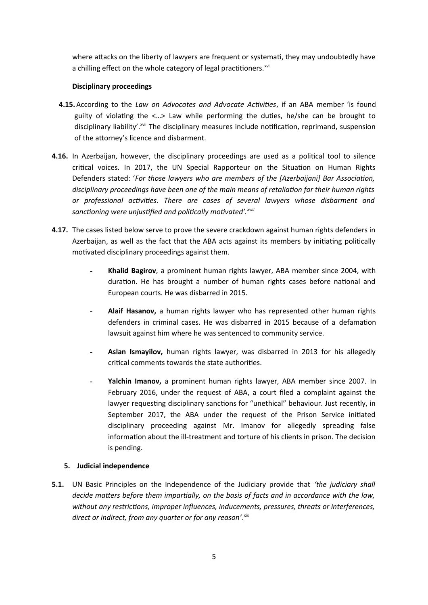where attacks on the liberty of lawyers are frequent or systemati, they may undoubtedly have a chilling effect on the whole category of legal practitioners.<sup>xvi</sup>

## **Disciplinary proceedings**

- **4.15.**According to the *Law on Advocates and Advocate Actvites*, if an ABA member 'is found guilty of violating the  $\langle ... \rangle$  Law while performing the duties, he/she can be brought to disciplinary liability'.<sup>xvii</sup> The disciplinary measures include notification, reprimand, suspension of the atorney's licence and disbarment.
- **4.16.** In Azerbaijan, however, the disciplinary proceedings are used as a political tool to silence critical voices. In 2017, the UN Special Rapporteur on the Situation on Human Rights Defenders stated: '*For those lawyers who are members of the [Azerbaijani] Bar Associaton, disciplinary proceedings have been one of the main means of retaliaton for their human rights or professional actvites. There are cases of several lawyers whose disbarment and* sanctioning were unjustified and politically motivated'.<sup>*xviii*</sup>
- **4.17.** The cases listed below serve to prove the severe crackdown against human rights defenders in Azerbaijan, as well as the fact that the ABA acts against its members by initiating politically motivated disciplinary proceedings against them.
	- Khalid Bagirov, a prominent human rights lawyer, ABA member since 2004, with duration. He has brought a number of human rights cases before national and European courts. He was disbarred in 2015.
	- **- Alaif Hasanov**, a human rights lawyer who has represented other human rights defenders in criminal cases. He was disbarred in 2015 because of a defamaton lawsuit against him where he was sentenced to community service.
	- Aslan Ismayilov, human rights lawyer, was disbarred in 2013 for his allegedly critcal comments towards the state authorites.
	- Yalchin Imanov, a prominent human rights lawyer, ABA member since 2007. In February 2016, under the request of ABA, a court filed a complaint against the lawyer requesting disciplinary sanctions for "unethical" behaviour. Just recently, in September 2017, the ABA under the request of the Prison Service initated disciplinary proceeding against Mr. Imanov for allegedly spreading false information about the ill-treatment and torture of his clients in prison. The decision is pending.

### **5. Judicial independence**

**5.1.** UN Basic Principles on the Independence of the Judiciary provide that *'the judiciary shall decide maters before them impartally, on the basis of facts and in accordance with the law, without any restrictons, improper infuences, inducements, pressures, threats or interferences,* direct or indirect, from any quarter or for any reason'. Xix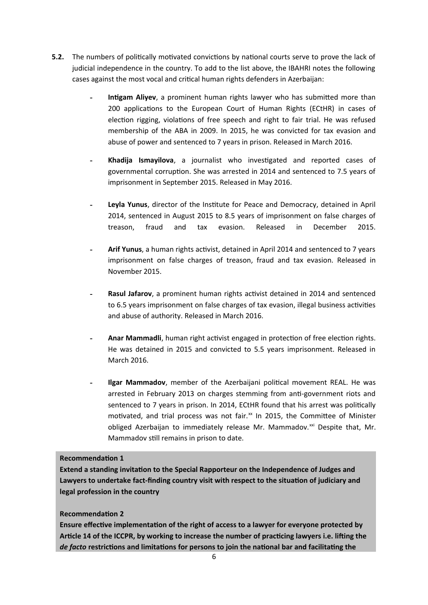- **5.2.** The numbers of politically motivated convictions by national courts serve to prove the lack of judicial independence in the country. To add to the list above, the IBAHRI notes the following cases against the most vocal and critical human rights defenders in Azerbaijan:
	- **- Intgam Aliyev**, a prominent human rights lawyer who has submited more than 200 applications to the European Court of Human Rights (ECtHR) in cases of election rigging, violations of free speech and right to fair trial. He was refused membership of the ABA in 2009. In 2015, he was convicted for tax evasion and abuse of power and sentenced to 7 years in prison. Released in March 2016.
	- **Khadija Ismayilova**, a journalist who investigated and reported cases of governmental corrupton. She was arrested in 2014 and sentenced to 7.5 years of imprisonment in September 2015. Released in May 2016.
	- **- Leyla Yunus**, director of the Insttute for Peace and Democracy, detained in April 2014, sentenced in August 2015 to 8.5 years of imprisonment on false charges of treason, fraud and tax evasion. Released in December 2015.
	- Arif Yunus, a human rights activist, detained in April 2014 and sentenced to 7 years imprisonment on false charges of treason, fraud and tax evasion. Released in November 2015.
	- **Rasul Jafarov**, a prominent human rights activist detained in 2014 and sentenced to 6.5 years imprisonment on false charges of tax evasion, illegal business activities and abuse of authority. Released in March 2016.
	- Anar Mammadli, human right activist engaged in protection of free election rights. He was detained in 2015 and convicted to 5.5 years imprisonment. Released in March 2016.
	- **Ilgar Mammadov**, member of the Azerbaijani political movement REAL. He was arrested in February 2013 on charges stemming from anti-government riots and sentenced to 7 years in prison. In 2014, ECtHR found that his arrest was politically motivated, and trial process was not fair.<sup>xx</sup> In 2015, the Committee of Minister obliged Azerbaijan to immediately release Mr. Mammadov.<sup>xxi</sup> Despite that, Mr. Mammadov still remains in prison to date.

### **Recommendation 1**

Extend a standing invitation to the Special Rapporteur on the Independence of Judges and Lawyers to undertake fact-finding country visit with respect to the situation of judiciary and **legal profession in the country** 

# **Recommendation 2**

Ensure effective implementation of the right of access to a lawyer for everyone protected by Article 14 of the ICCPR, by working to increase the number of practicing lawyers i.e. lifting the de facto restrictions and limitations for persons to join the national bar and facilitating the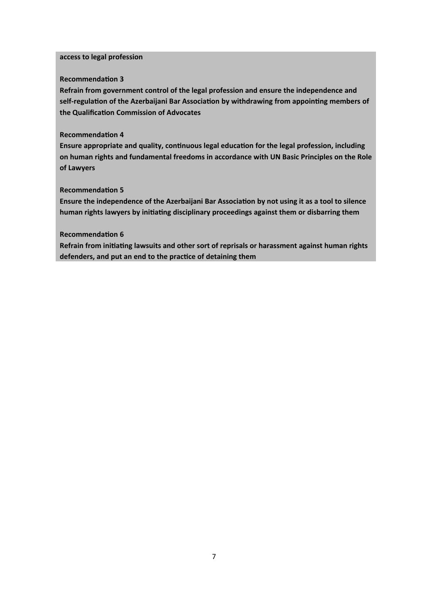#### **access to legal profession**

#### **Recommendation 3**

Refrain from government control of the legal profession and ensure the independence and self-regulation of the Azerbaijani Bar Association by withdrawing from appointing members of the Qualification Commission of Advocates

#### **Recommendation 4**

Ensure appropriate and quality, continuous legal education for the legal profession, including on human rights and fundamental freedoms in accordance with UN Basic Principles on the Role **iof Lawyers**

#### **Recommendation 5**

Ensure the independence of the Azerbaijani Bar Association by not using it as a tool to silence human rights lawyers by initiating disciplinary proceedings against them or disbarring them

#### **Recommendation 6**

Refrain from initiating lawsuits and other sort of reprisals or harassment against human rights defenders, and put an end to the practice of detaining them